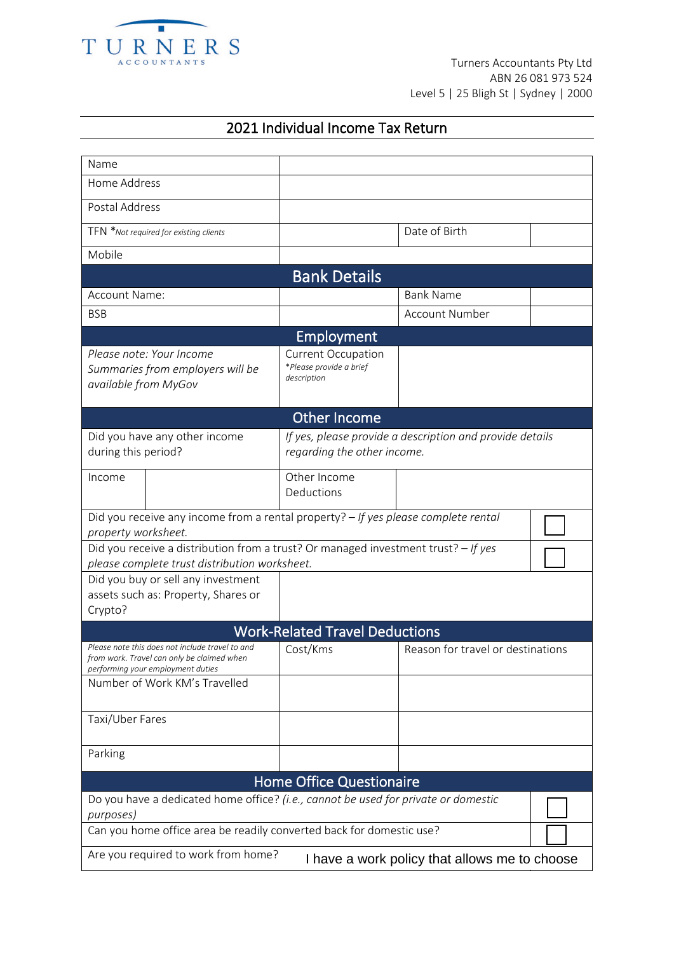

## 2021 Individual Income Tax Return

| Name                                                                                                                                                                |                                                                     |                                                                                         |  |  |  |
|---------------------------------------------------------------------------------------------------------------------------------------------------------------------|---------------------------------------------------------------------|-----------------------------------------------------------------------------------------|--|--|--|
| Home Address                                                                                                                                                        |                                                                     |                                                                                         |  |  |  |
| Postal Address                                                                                                                                                      |                                                                     |                                                                                         |  |  |  |
| TFN *Not required for existing clients                                                                                                                              |                                                                     | Date of Birth                                                                           |  |  |  |
| Mobile                                                                                                                                                              |                                                                     |                                                                                         |  |  |  |
| <b>Bank Details</b>                                                                                                                                                 |                                                                     |                                                                                         |  |  |  |
| Account Name:                                                                                                                                                       |                                                                     | <b>Bank Name</b>                                                                        |  |  |  |
| <b>BSB</b>                                                                                                                                                          |                                                                     | <b>Account Number</b>                                                                   |  |  |  |
|                                                                                                                                                                     | Employment                                                          |                                                                                         |  |  |  |
| Please note: Your Income<br>Summaries from employers will be<br>available from MyGov                                                                                | <b>Current Occupation</b><br>*Please provide a brief<br>description |                                                                                         |  |  |  |
|                                                                                                                                                                     | <b>Other Income</b>                                                 |                                                                                         |  |  |  |
| Did you have any other income<br>during this period?                                                                                                                |                                                                     | If yes, please provide a description and provide details<br>regarding the other income. |  |  |  |
| Income                                                                                                                                                              | Other Income<br>Deductions                                          |                                                                                         |  |  |  |
| Did you receive any income from a rental property? - If yes please complete rental<br>property worksheet.                                                           |                                                                     |                                                                                         |  |  |  |
| Did you receive a distribution from a trust? Or managed investment trust? - If yes<br>please complete trust distribution worksheet.                                 |                                                                     |                                                                                         |  |  |  |
| Did you buy or sell any investment<br>assets such as: Property, Shares or<br>Crypto?                                                                                |                                                                     |                                                                                         |  |  |  |
| <b>Work-Related Travel Deductions</b>                                                                                                                               |                                                                     |                                                                                         |  |  |  |
| Please note this does not include travel to and<br>from work. Travel can only be claimed when<br>performing your employment duties<br>Number of Work KM's Travelled | Cost/Kms                                                            | Reason for travel or destinations                                                       |  |  |  |
| Taxi/Uber Fares                                                                                                                                                     |                                                                     |                                                                                         |  |  |  |
|                                                                                                                                                                     |                                                                     |                                                                                         |  |  |  |
| Parking                                                                                                                                                             |                                                                     |                                                                                         |  |  |  |
| <b>Home Office Questionaire</b>                                                                                                                                     |                                                                     |                                                                                         |  |  |  |
| Do you have a dedicated home office? (i.e., cannot be used for private or domestic<br>purposes)                                                                     |                                                                     |                                                                                         |  |  |  |
| Can you home office area be readily converted back for domestic use?                                                                                                |                                                                     |                                                                                         |  |  |  |
| Are you required to work from home?<br>I have a work policy that allows me to choose                                                                                |                                                                     |                                                                                         |  |  |  |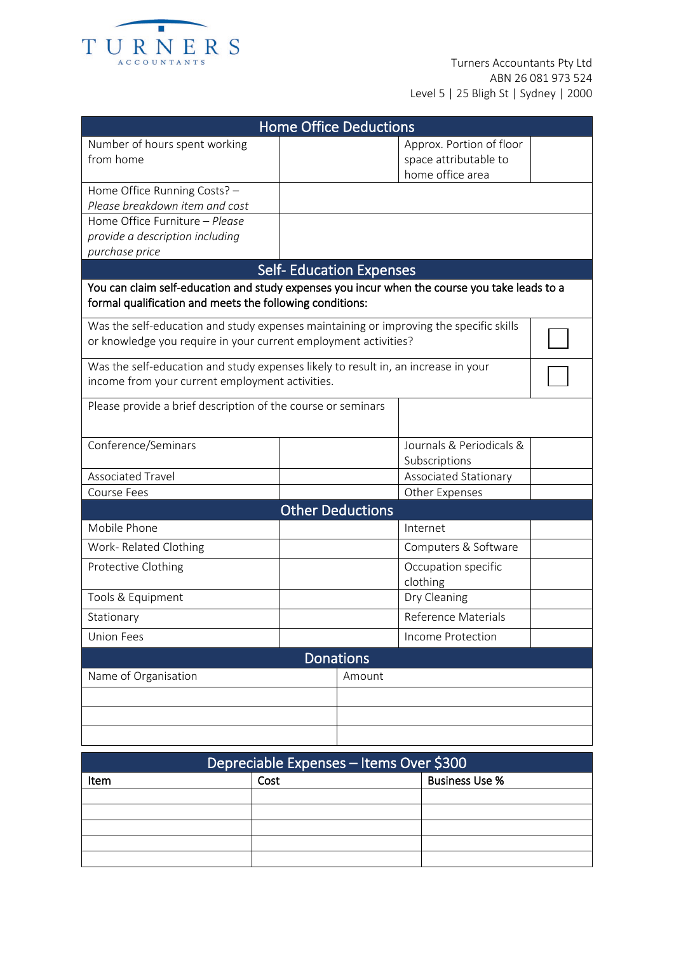

| <b>Home Office Deductions</b>                                                                                                                             |                                |                                                                       |  |  |  |
|-----------------------------------------------------------------------------------------------------------------------------------------------------------|--------------------------------|-----------------------------------------------------------------------|--|--|--|
| Number of hours spent working<br>from home                                                                                                                |                                | Approx. Portion of floor<br>space attributable to<br>home office area |  |  |  |
| Home Office Running Costs? -<br>Please breakdown item and cost                                                                                            |                                |                                                                       |  |  |  |
| Home Office Furniture - Please<br>provide a description including                                                                                         |                                |                                                                       |  |  |  |
| purchase price                                                                                                                                            |                                |                                                                       |  |  |  |
|                                                                                                                                                           | <b>Self-Education Expenses</b> |                                                                       |  |  |  |
| You can claim self-education and study expenses you incur when the course you take leads to a<br>formal qualification and meets the following conditions: |                                |                                                                       |  |  |  |
| Was the self-education and study expenses maintaining or improving the specific skills<br>or knowledge you require in your current employment activities? |                                |                                                                       |  |  |  |
| Was the self-education and study expenses likely to result in, an increase in your<br>income from your current employment activities.                     |                                |                                                                       |  |  |  |
| Please provide a brief description of the course or seminars                                                                                              |                                |                                                                       |  |  |  |
| Conference/Seminars                                                                                                                                       |                                | Journals & Periodicals &<br>Subscriptions                             |  |  |  |
| <b>Associated Travel</b>                                                                                                                                  |                                | Associated Stationary                                                 |  |  |  |
| Course Fees                                                                                                                                               |                                | Other Expenses                                                        |  |  |  |
| <b>Other Deductions</b>                                                                                                                                   |                                |                                                                       |  |  |  |
| Mobile Phone                                                                                                                                              |                                | Internet                                                              |  |  |  |
| Work-Related Clothing                                                                                                                                     |                                | Computers & Software                                                  |  |  |  |
| Protective Clothing                                                                                                                                       |                                | Occupation specific<br>clothing                                       |  |  |  |
| Tools & Equipment                                                                                                                                         |                                | Dry Cleaning                                                          |  |  |  |
| Stationary                                                                                                                                                |                                | Reference Materials                                                   |  |  |  |
| <b>Union Fees</b>                                                                                                                                         |                                | Income Protection                                                     |  |  |  |
| <b>Donations</b>                                                                                                                                          |                                |                                                                       |  |  |  |
| Name of Organisation<br>Amount                                                                                                                            |                                |                                                                       |  |  |  |
|                                                                                                                                                           |                                |                                                                       |  |  |  |
|                                                                                                                                                           |                                |                                                                       |  |  |  |

| Depreciable Expenses - Items Over \$300 |      |                       |  |  |
|-----------------------------------------|------|-----------------------|--|--|
| Item                                    | Cost | <b>Business Use %</b> |  |  |
|                                         |      |                       |  |  |
|                                         |      |                       |  |  |
|                                         |      |                       |  |  |
|                                         |      |                       |  |  |
|                                         |      |                       |  |  |